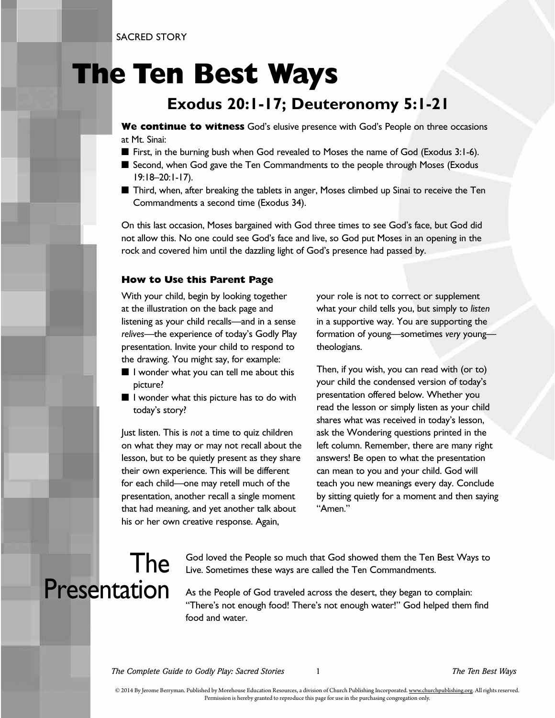SACRED STORY

## **The Ten Best Ways**

#### **Exodus 20:1-17; Deuteronomy 5:1-21**

**We continue to witness** God's elusive presence with God's People on three occasions at Mt. Sinai:

- First, in the burning bush when God revealed to Moses the name of God (Exodus 3:1-6).
- Second, when God gave the Ten Commandments to the people through Moses (Exodus 19:18–20:1-17).
- Third, when, after breaking the tablets in anger, Moses climbed up Sinai to receive the Ten Commandments a second time (Exodus 34).

On this last occasion, Moses bargained with God three times to see God's face, but God did not allow this. No one could see God's face and live, so God put Moses in an opening in the rock and covered him until the dazzling light of God's presence had passed by.

#### **How to Use this Parent Page**

With your child, begin by looking together at the illustration on the back page and listening as your child recalls—and in a sense *relives*—the experience of today's Godly Play presentation. Invite your child to respond to the drawing. You might say, for example:

- I wonder what you can tell me about this picture?
- I wonder what this picture has to do with today's story?

Just listen. This is *not* a time to quiz children on what they may or may not recall about the lesson, but to be quietly present as they share their own experience. This will be different for each child—one may retell much of the presentation, another recall a single moment that had meaning, and yet another talk about his or her own creative response. Again,

your role is not to correct or supplement what your child tells you, but simply to *listen* in a supportive way. You are supporting the formation of young—sometimes *very* young theologians.

Then, if you wish, you can read with (or to) your child the condensed version of today's presentation offered below. Whether you read the lesson or simply listen as your child shares what was received in today's lesson, ask the Wondering questions printed in the left column. Remember, there are many right answers! Be open to what the presentation can mean to you and your child. God will teach you new meanings every day. Conclude by sitting quietly for a moment and then saying "Amen."

#### The Presentation

God loved the People so much that God showed them the Ten Best Ways to Live. Sometimes these ways are called the Ten Commandments.

As the People of God traveled across the desert, they began to complain: "There's not enough food! There's not enough water!" God helped them find food and water.

*The Complete Guide to Godly Play: Sacred Stories* 1 *The Ten Best Ways*